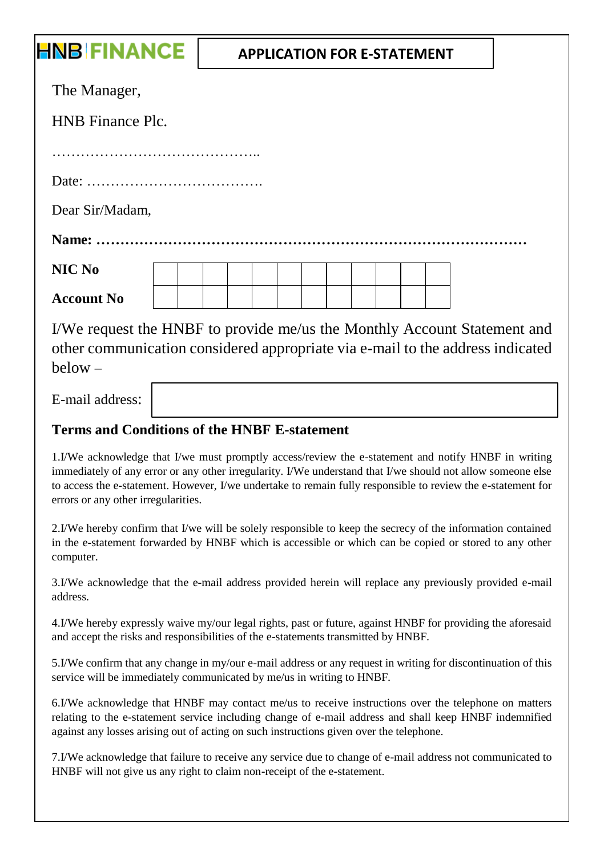## **HNB FINANCE APPLICATION FOR E-STATEMENT**The Manager, HNB Finance Plc. …………………………………….. Date: ………………………………. Dear Sir/Madam, **Name: ……………………………………………………………………………… NIC No Account No** I/We request the HNBF to provide me/us the Monthly Account Statement and

other communication considered appropriate via e-mail to the address indicated below –

E-mail address:

## **Terms and Conditions of the HNBF E-statement**

1.I/We acknowledge that I/we must promptly access/review the e-statement and notify HNBF in writing immediately of any error or any other irregularity. I/We understand that I/we should not allow someone else to access the e-statement. However, I/we undertake to remain fully responsible to review the e-statement for errors or any other irregularities.

2.I/We hereby confirm that I/we will be solely responsible to keep the secrecy of the information contained in the e-statement forwarded by HNBF which is accessible or which can be copied or stored to any other computer.

3.I/We acknowledge that the e-mail address provided herein will replace any previously provided e-mail address.

4.I/We hereby expressly waive my/our legal rights, past or future, against HNBF for providing the aforesaid and accept the risks and responsibilities of the e-statements transmitted by HNBF.

5.I/We confirm that any change in my/our e-mail address or any request in writing for discontinuation of this service will be immediately communicated by me/us in writing to HNBF.

6.I/We acknowledge that HNBF may contact me/us to receive instructions over the telephone on matters relating to the e-statement service including change of e-mail address and shall keep HNBF indemnified against any losses arising out of acting on such instructions given over the telephone.

7.I/We acknowledge that failure to receive any service due to change of e-mail address not communicated to HNBF will not give us any right to claim non-receipt of the e-statement.